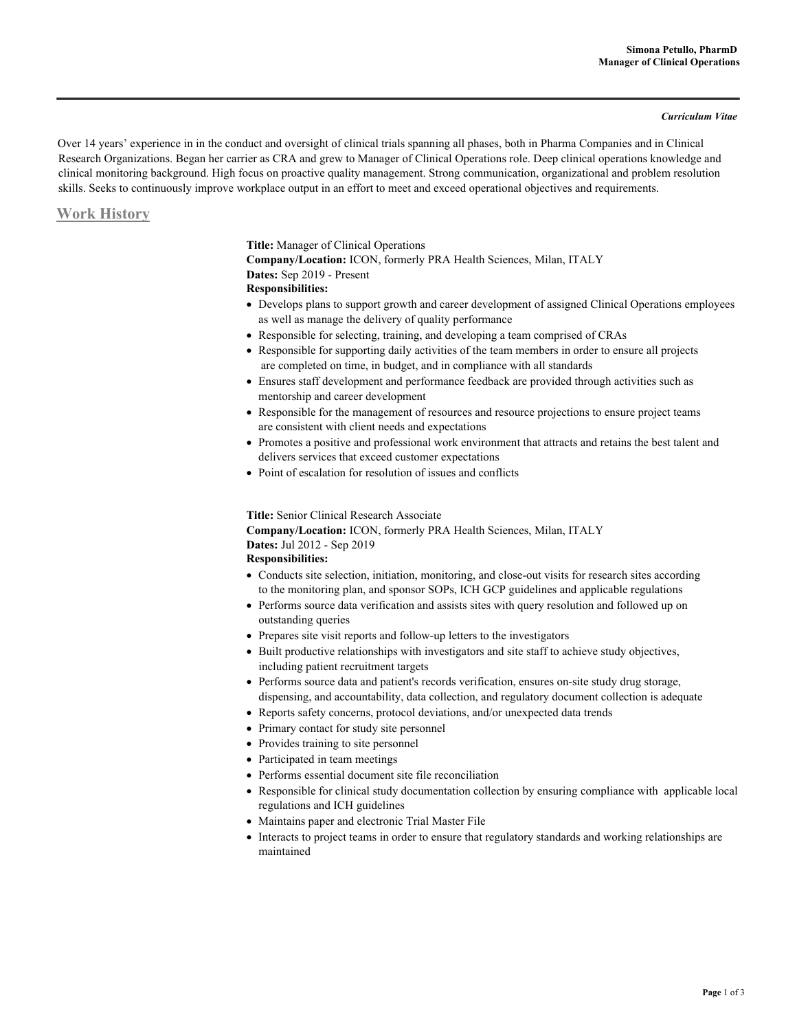#### *Curriculum Vitae*

Over 14 years' experience in in the conduct and oversight of clinical trials spanning all phases, both in Pharma Companies and in Clinical Research Organizations. Began her carrier as CRA and grew to Manager of Clinical Operations role. Deep clinical operations knowledge and clinical monitoring background. High focus on proactive quality management. Strong communication, organizational and problem resolution skills. Seeks to continuously improve workplace output in an effort to meet and exceed operational objectives and requirements.

### **Work History**

**Title:** Manager of Clinical Operations **Company/Location:** ICON, formerly PRA Health Sciences, Milan, ITALY **Dates:** Sep 2019 - Present **Responsibilities:** 

- Develops plans to support growth and career development of assigned Clinical Operations employees as well as manage the delivery of quality performance
- Responsible for selecting, training, and developing a team comprised of CRAs
- Responsible for supporting daily activities of the team members in order to ensure all projects are completed on time, in budget, and in compliance with all standards
- Ensures staff development and performance feedback are provided through activities such as mentorship and career development
- Responsible for the management of resources and resource projections to ensure project teams are consistent with client needs and expectations
- Promotes a positive and professional work environment that attracts and retains the best talent and delivers services that exceed customer expectations
- Point of escalation for resolution of issues and conflicts

#### **Title:** Senior Clinical Research Associate

**Company/Location:** ICON, formerly PRA Health Sciences, Milan, ITALY **Dates:** Jul 2012 - Sep 2019  **Responsibilities:** 

- Conducts site selection, initiation, monitoring, and close-out visits for research sites according to the monitoring plan, and sponsor SOPs, ICH GCP guidelines and applicable regulations
- Performs source data verification and assists sites with query resolution and followed up on outstanding queries
- Prepares site visit reports and follow-up letters to the investigators
- Built productive relationships with investigators and site staff to achieve study objectives, including patient recruitment targets
- Performs source data and patient's records verification, ensures on-site study drug storage, dispensing, and accountability, data collection, and regulatory document collection is adequate
- Reports safety concerns, protocol deviations, and/or unexpected data trends
- Primary contact for study site personnel
- Provides training to site personnel
- Participated in team meetings
- Performs essential document site file reconciliation
- Responsible for clinical study documentation collection by ensuring compliance with applicable local regulations and ICH guidelines
- Maintains paper and electronic Trial Master File
- Interacts to project teams in order to ensure that regulatory standards and working relationships are maintained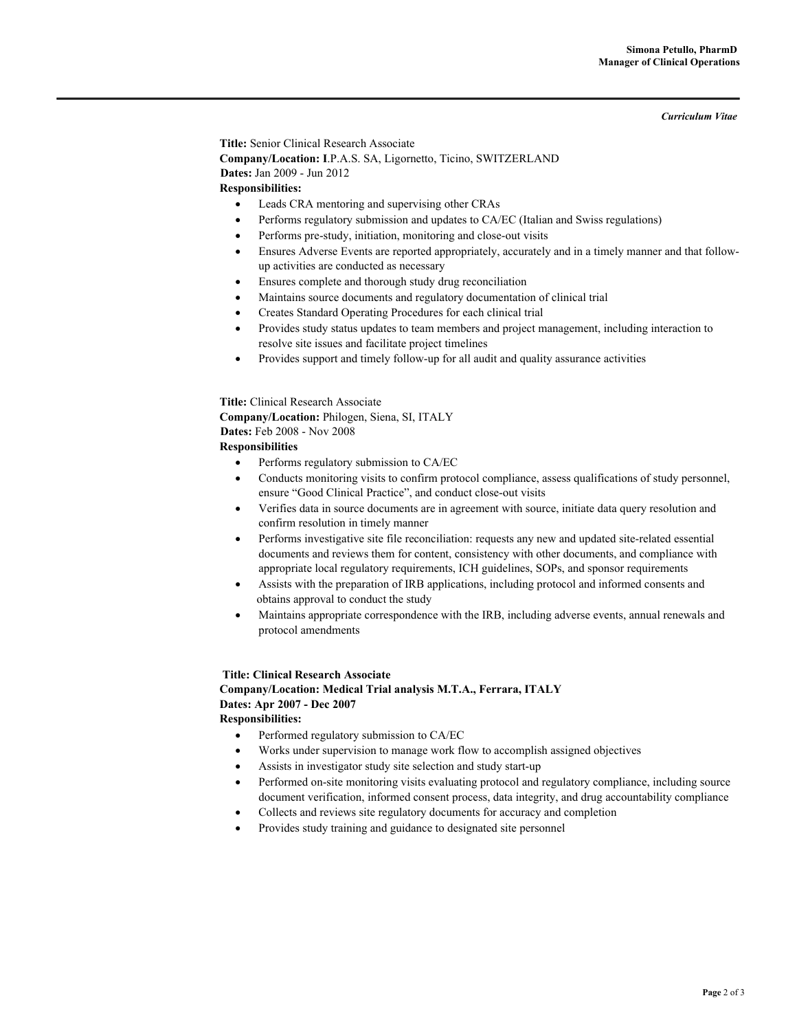*Curriculum Vitae* 

**Title:** Senior Clinical Research Associate **Company/Location: I**.P.A.S. SA, Ligornetto, Ticino, SWITZERLAND  **Dates:** Jan 2009 - Jun 2012 **Responsibilities:** 

- Leads CRA mentoring and supervising other CRAs
- Performs regulatory submission and updates to CA/EC (Italian and Swiss regulations)
- Performs pre-study, initiation, monitoring and close-out visits
- Ensures Adverse Events are reported appropriately, accurately and in a timely manner and that followup activities are conducted as necessary
- Ensures complete and thorough study drug reconciliation
- Maintains source documents and regulatory documentation of clinical trial
- Creates Standard Operating Procedures for each clinical trial
- Provides study status updates to team members and project management, including interaction to resolve site issues and facilitate project timelines
- Provides support and timely follow-up for all audit and quality assurance activities

**Title:** Clinical Research Associate **Company/Location:** Philogen, Siena, SI, ITALY  **Dates:** Feb 2008 - Nov 2008

### **Responsibilities**

- Performs regulatory submission to CA/EC
- Conducts monitoring visits to confirm protocol compliance, assess qualifications of study personnel, ensure "Good Clinical Practice", and conduct close-out visits
- Verifies data in source documents are in agreement with source, initiate data query resolution and confirm resolution in timely manner
- Performs investigative site file reconciliation: requests any new and updated site-related essential documents and reviews them for content, consistency with other documents, and compliance with appropriate local regulatory requirements, ICH guidelines, SOPs, and sponsor requirements
- Assists with the preparation of IRB applications, including protocol and informed consents and obtains approval to conduct the study
- Maintains appropriate correspondence with the IRB, including adverse events, annual renewals and protocol amendments

## **Title: Clinical Research Associate**

**Company/Location: Medical Trial analysis M.T.A., Ferrara, ITALY Dates: Apr 2007 - Dec 2007 Responsibilities:** 

- Performed regulatory submission to CA/EC
- Works under supervision to manage work flow to accomplish assigned objectives
- Assists in investigator study site selection and study start-up
- Performed on-site monitoring visits evaluating protocol and regulatory compliance, including source document verification, informed consent process, data integrity, and drug accountability compliance
- Collects and reviews site regulatory documents for accuracy and completion
- Provides study training and guidance to designated site personnel